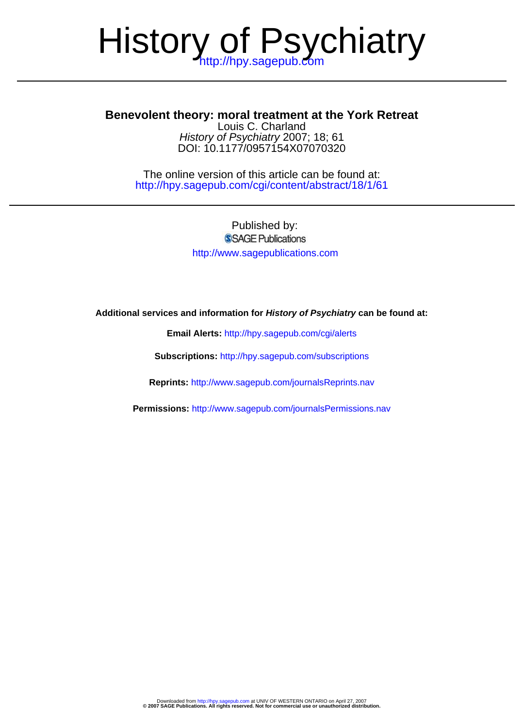# History of Psychiatry

DOI: 10.1177/0957154X07070320 History of Psychiatry 2007; 18; 61 Louis C. Charland **Benevolent theory: moral treatment at the York Retreat**

http://hpy.sagepub.com/cgi/content/abstract/18/1/61 The online version of this article can be found at:

> Published by: SSAGE Publications http://www.sagepublications.com

**Additional services and information for History of Psychiatry can be found at:**

**Email Alerts:** <http://hpy.sagepub.com/cgi/alerts>

**Subscriptions:** <http://hpy.sagepub.com/subscriptions>

**Reprints:** <http://www.sagepub.com/journalsReprints.nav>

**Permissions:** <http://www.sagepub.com/journalsPermissions.nav>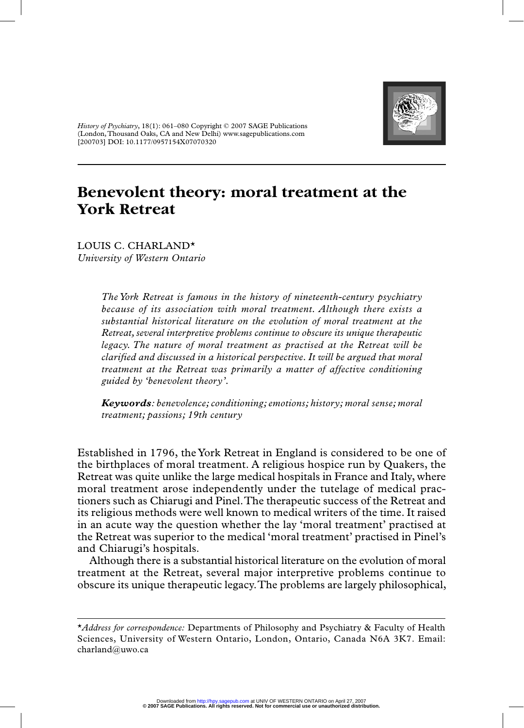

*History of Psychiatry*, 18(1): 061–080 Copyright © 2007 SAGE Publications (London, Thousand Oaks, CA and New Delhi) www.sagepublications.com [200703] DOI: 10.1177/0957154X07070320

# **Benevolent theory: moral treatment at the York Retreat**

LOUIS C. CHARLAND\* *University of Western Ontario*

> *The York Retreat is famous in the history of nineteenth-century psychiatry because of its association with moral treatment. Although there exists a substantial historical literature on the evolution of moral treatment at the Retreat, several interpretive problems continue to obscure its unique therapeutic legacy. The nature of moral treatment as practised at the Retreat will be clarified and discussed in a historical perspective. It will be argued that moral treatment at the Retreat was primarily a matter of affective conditioning guided by 'benevolent theory'.*

> *Keywords: benevolence; conditioning; emotions; history; moral sense; moral treatment; passions; 19th century*

Established in 1796, the York Retreat in England is considered to be one of the birthplaces of moral treatment. A religious hospice run by Quakers, the Retreat was quite unlike the large medical hospitals in France and Italy, where moral treatment arose independently under the tutelage of medical practioners such as Chiarugi and Pinel. The therapeutic success of the Retreat and its religious methods were well known to medical writers of the time. It raised in an acute way the question whether the lay 'moral treatment' practised at the Retreat was superior to the medical 'moral treatment' practised in Pinel's and Chiarugi's hospitals.

Although there is a substantial historical literature on the evolution of moral treatment at the Retreat, several major interpretive problems continue to obscure its unique therapeutic legacy. The problems are largely philosophical,

<sup>\*</sup>*Address for correspondence:* Departments of Philosophy and Psychiatry & Faculty of Health Sciences, University of Western Ontario, London, Ontario, Canada N6A 3K7. Email: charland@uwo.ca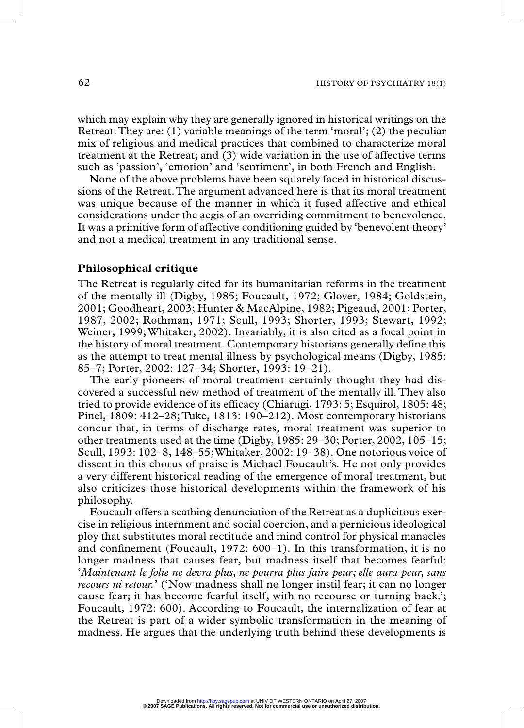which may explain why they are generally ignored in historical writings on the Retreat. They are: (1) variable meanings of the term 'moral'; (2) the peculiar mix of religious and medical practices that combined to characterize moral treatment at the Retreat; and (3) wide variation in the use of affective terms such as 'passion', 'emotion' and 'sentiment', in both French and English.

None of the above problems have been squarely faced in historical discussions of the Retreat. The argument advanced here is that its moral treatment was unique because of the manner in which it fused affective and ethical considerations under the aegis of an overriding commitment to benevolence. It was a primitive form of affective conditioning guided by 'benevolent theory' and not a medical treatment in any traditional sense.

# **Philosophical critique**

The Retreat is regularly cited for its humanitarian reforms in the treatment of the mentally ill (Digby, 1985; Foucault, 1972; Glover, 1984; Goldstein, 2001; Goodheart, 2003; Hunter & MacAlpine, 1982; Pigeaud, 2001; Porter, 1987, 2002; Rothman, 1971; Scull, 1993; Shorter, 1993; Stewart, 1992; Weiner, 1999; Whitaker, 2002). Invariably, it is also cited as a focal point in the history of moral treatment. Contemporary historians generally define this as the attempt to treat mental illness by psychological means (Digby, 1985: 85–7; Porter, 2002: 127–34; Shorter, 1993: 19–21).

The early pioneers of moral treatment certainly thought they had discovered a successful new method of treatment of the mentally ill. They also tried to provide evidence of its efficacy (Chiarugi,  $1793: 5$ ; Esquirol,  $1805: 48$ ; Pinel, 1809: 412–28; Tuke, 1813: 190–212). Most contemporary historians concur that, in terms of discharge rates, moral treatment was superior to other treatments used at the time (Digby, 1985: 29–30; Porter, 2002, 105–15; Scull, 1993: 102–8, 148–55; Whitaker, 2002: 19–38). One notorious voice of dissent in this chorus of praise is Michael Foucault's. He not only provides a very different historical reading of the emergence of moral treatment, but also criticizes those historical developments within the framework of his philosophy.

Foucault offers a scathing denunciation of the Retreat as a duplicitous exercise in religious internment and social coercion, and a pernicious ideological ploy that substitutes moral rectitude and mind control for physical manacles and confinement (Foucault, 1972:  $600-1$ ). In this transformation, it is no longer madness that causes fear, but madness itself that becomes fearful: '*Maintenant le folie ne devra plus, ne pourra plus faire peur; elle aura peur, sans recours ni retour.*' ('Now madness shall no longer instil fear; it can no longer cause fear; it has become fearful itself, with no recourse or turning back.'; Foucault, 1972: 600). According to Foucault, the internalization of fear at the Retreat is part of a wider symbolic transformation in the meaning of madness. He argues that the underlying truth behind these developments is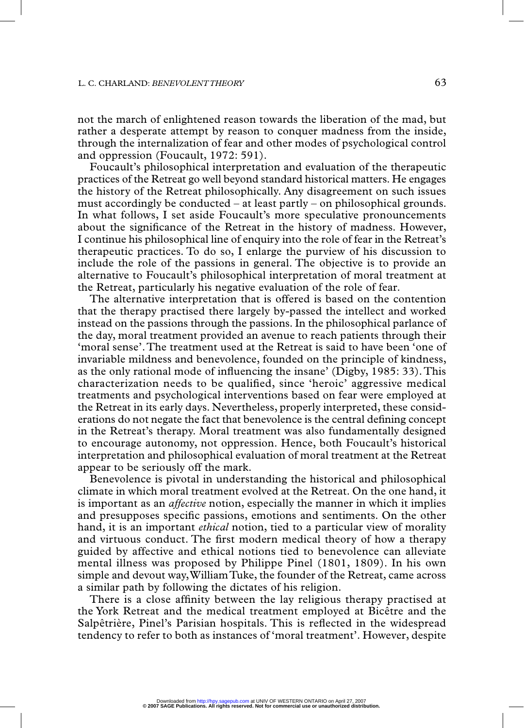not the march of enlightened reason towards the liberation of the mad, but rather a desperate attempt by reason to conquer madness from the inside, through the internalization of fear and other modes of psychological control and oppression (Foucault, 1972: 591).

Foucault's philosophical interpretation and evaluation of the therapeutic practices of the Retreat go well beyond standard historical matters. He engages the history of the Retreat philosophically. Any disagreement on such issues must accordingly be conducted – at least partly – on philosophical grounds. In what follows, I set aside Foucault's more speculative pronouncements about the significance of the Retreat in the history of madness. However, I continue his philosophical line of enquiry into the role of fear in the Retreat's therapeutic practices. To do so, I enlarge the purview of his discussion to include the role of the passions in general. The objective is to provide an alternative to Foucault's philosophical interpretation of moral treatment at the Retreat, particularly his negative evaluation of the role of fear.

The alternative interpretation that is offered is based on the contention that the therapy practised there largely by-passed the intellect and worked instead on the passions through the passions. In the philosophical parlance of the day, moral treatment provided an avenue to reach patients through their 'moral sense'. The treatment used at the Retreat is said to have been 'one of invariable mildness and benevolence, founded on the principle of kindness, as the only rational mode of influencing the insane' (Digby, 1985: 33). This characterization needs to be qualified, since 'heroic' aggressive medical treatments and psychological interventions based on fear were employed at the Retreat in its early days. Nevertheless, properly interpreted, these considerations do not negate the fact that benevolence is the central defining concept in the Retreat's therapy. Moral treatment was also fundamentally designed to encourage autonomy, not oppression. Hence, both Foucault's historical interpretation and philosophical evaluation of moral treatment at the Retreat appear to be seriously off the mark.

Benevolence is pivotal in understanding the historical and philosophical climate in which moral treatment evolved at the Retreat. On the one hand, it is important as an *affective* notion, especially the manner in which it implies and presupposes specific passions, emotions and sentiments. On the other hand, it is an important *ethical* notion, tied to a particular view of morality and virtuous conduct. The first modern medical theory of how a therapy guided by affective and ethical notions tied to benevolence can alleviate mental illness was proposed by Philippe Pinel (1801, 1809). In his own simple and devout way, William Tuke, the founder of the Retreat, came across a similar path by following the dictates of his religion.

There is a close affinity between the lay religious therapy practised at the York Retreat and the medical treatment employed at Bicêtre and the Salpêtrière, Pinel's Parisian hospitals. This is reflected in the widespread tendency to refer to both as instances of 'moral treatment'. However, despite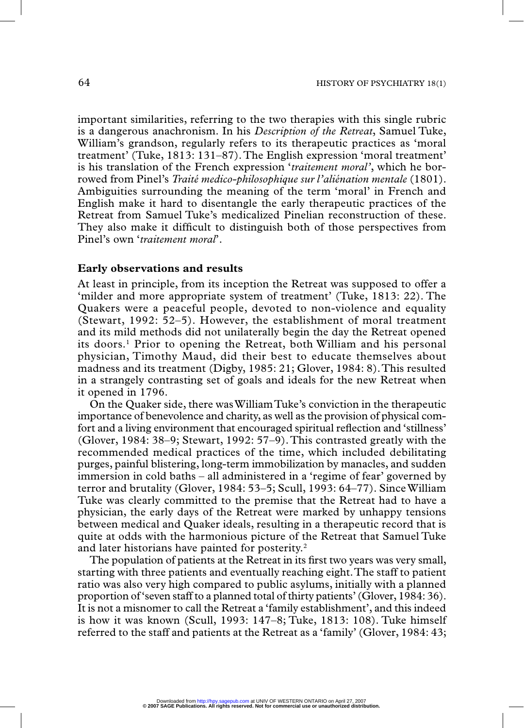important similarities, referring to the two therapies with this single rubric is a dangerous anachronism. In his *Description of the Retreat*, Samuel Tuke, William's grandson, regularly refers to its therapeutic practices as 'moral treatment' (Tuke, 1813: 131–87). The English expression 'moral treatment' is his translation of the French expression '*traitement moral'*, which he borrowed from Pinel's *Traité medico-philosophique sur l'aliénation mentale* (1801). Ambiguities surrounding the meaning of the term 'moral' in French and English make it hard to disentangle the early therapeutic practices of the Retreat from Samuel Tuke's medicalized Pinelian reconstruction of these. They also make it difficult to distinguish both of those perspectives from Pinel's own '*traitement moral*'.

## **Early observations and results**

At least in principle, from its inception the Retreat was supposed to offer a 'milder and more appropriate system of treatment' (Tuke, 1813: 22). The Quakers were a peaceful people, devoted to non-violence and equality (Stewart, 1992: 52–5). However, the establishment of moral treatment and its mild methods did not unilaterally begin the day the Retreat opened its doors.<sup>1</sup> Prior to opening the Retreat, both William and his personal physician, Timothy Maud, did their best to educate themselves about madness and its treatment (Digby, 1985: 21; Glover, 1984: 8). This resulted in a strangely contrasting set of goals and ideals for the new Retreat when it opened in 1796.

On the Quaker side, there was William Tuke's conviction in the therapeutic importance of benevolence and charity, as well as the provision of physical comfort and a living environment that encouraged spiritual reflection and 'stillness' (Glover, 1984: 38–9; Stewart, 1992: 57–9). This contrasted greatly with the recommended medical practices of the time, which included debilitating purges, painful blistering, long-term immobilization by manacles, and sudden immersion in cold baths – all administered in a 'regime of fear' governed by terror and brutality (Glover, 1984: 53–5; Scull, 1993: 64–77). Since William Tuke was clearly committed to the premise that the Retreat had to have a physician, the early days of the Retreat were marked by unhappy tensions between medical and Quaker ideals, resulting in a therapeutic record that is quite at odds with the harmonious picture of the Retreat that Samuel Tuke and later historians have painted for posterity.2

The population of patients at the Retreat in its first two years was very small, starting with three patients and eventually reaching eight. The staff to patient ratio was also very high compared to public asylums, initially with a planned proportion of 'seven staff to a planned total of thirty patients' (Glover, 1984: 36). It is not a misnomer to call the Retreat a 'family establishment', and this indeed is how it was known (Scull, 1993: 147–8; Tuke, 1813: 108). Tuke himself referred to the staff and patients at the Retreat as a 'family' (Glover, 1984: 43;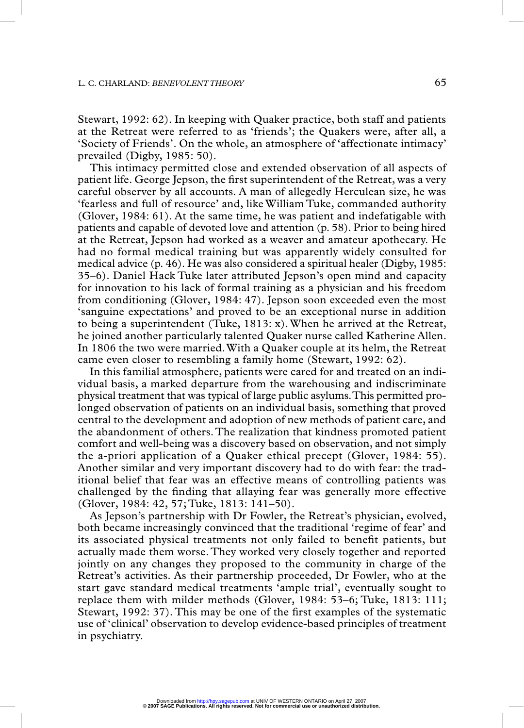Stewart, 1992: 62). In keeping with Quaker practice, both staff and patients at the Retreat were referred to as 'friends'; the Quakers were, after all, a 'Society of Friends'. On the whole, an atmosphere of 'affectionate intimacy' prevailed (Digby, 1985: 50).

This intimacy permitted close and extended observation of all aspects of patient life. George Jepson, the first superintendent of the Retreat, was a very careful observer by all accounts. A man of allegedly Herculean size, he was 'fearless and full of resource' and, like William Tuke, commanded authority (Glover, 1984: 61). At the same time, he was patient and indefatigable with patients and capable of devoted love and attention (p. 58). Prior to being hired at the Retreat, Jepson had worked as a weaver and amateur apothecary. He had no formal medical training but was apparently widely consulted for medical advice (p. 46). He was also considered a spiritual healer (Digby, 1985: 35–6). Daniel Hack Tuke later attributed Jepson's open mind and capacity for innovation to his lack of formal training as a physician and his freedom from conditioning (Glover, 1984: 47). Jepson soon exceeded even the most 'sanguine expectations' and proved to be an exceptional nurse in addition to being a superintendent (Tuke, 1813: x). When he arrived at the Retreat, he joined another particularly talented Quaker nurse called Katherine Allen. In 1806 the two were married. With a Quaker couple at its helm, the Retreat came even closer to resembling a family home (Stewart, 1992: 62).

In this familial atmosphere, patients were cared for and treated on an individual basis, a marked departure from the warehousing and indiscriminate physical treatment that was typical of large public asylums. This permitted prolonged observation of patients on an individual basis, something that proved central to the development and adoption of new methods of patient care, and the abandonment of others. The realization that kindness promoted patient comfort and well-being was a discovery based on observation, and not simply the a-priori application of a Quaker ethical precept (Glover, 1984: 55). Another similar and very important discovery had to do with fear: the traditional belief that fear was an effective means of controlling patients was challenged by the finding that allaying fear was generally more effective (Glover, 1984: 42, 57; Tuke, 1813: 141–50).

As Jepson's partnership with Dr Fowler, the Retreat's physician, evolved, both became increasingly convinced that the traditional 'regime of fear' and its associated physical treatments not only failed to benefit patients, but actually made them worse. They worked very closely together and reported jointly on any changes they proposed to the community in charge of the Retreat's activities. As their partnership proceeded, Dr Fowler, who at the start gave standard medical treatments 'ample trial', eventually sought to replace them with milder methods (Glover, 1984: 53–6; Tuke, 1813: 111; Stewart, 1992: 37). This may be one of the first examples of the systematic use of 'clinical' observation to develop evidence-based principles of treatment in psychiatry.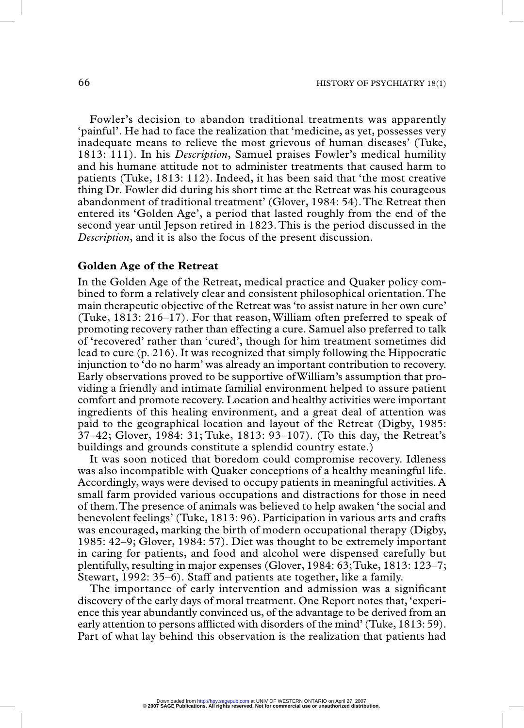Fowler's decision to abandon traditional treatments was apparently 'painful'. He had to face the realization that 'medicine, as yet, possesses very inadequate means to relieve the most grievous of human diseases' (Tuke, 1813: 111). In his *Description*, Samuel praises Fowler's medical humility and his humane attitude not to administer treatments that caused harm to patients (Tuke, 1813: 112). Indeed, it has been said that 'the most creative thing Dr. Fowler did during his short time at the Retreat was his courageous abandonment of traditional treatment' (Glover, 1984: 54). The Retreat then entered its 'Golden Age', a period that lasted roughly from the end of the second year until Jepson retired in 1823. This is the period discussed in the *Description*, and it is also the focus of the present discussion.

# **Golden Age of the Retreat**

In the Golden Age of the Retreat, medical practice and Quaker policy combined to form a relatively clear and consistent philosophical orientation. The main therapeutic objective of the Retreat was 'to assist nature in her own cure' (Tuke, 1813: 216–17). For that reason, William often preferred to speak of promoting recovery rather than effecting a cure. Samuel also preferred to talk of 'recovered' rather than 'cured', though for him treatment sometimes did lead to cure (p. 216). It was recognized that simply following the Hippocratic injunction to 'do no harm' was already an important contribution to recovery. Early observations proved to be supportive of William's assumption that providing a friendly and intimate familial environment helped to assure patient comfort and promote recovery. Location and healthy activities were important ingredients of this healing environment, and a great deal of attention was paid to the geographical location and layout of the Retreat (Digby, 1985: 37–42; Glover, 1984: 31; Tuke, 1813: 93–107). (To this day, the Retreat's buildings and grounds constitute a splendid country estate.)

It was soon noticed that boredom could compromise recovery. Idleness was also incompatible with Quaker conceptions of a healthy meaningful life. Accordingly, ways were devised to occupy patients in meaningful activities. A small farm provided various occupations and distractions for those in need of them. The presence of animals was believed to help awaken 'the social and benevolent feelings' (Tuke, 1813: 96). Participation in various arts and crafts was encouraged, marking the birth of modern occupational therapy (Digby, 1985: 42–9; Glover, 1984: 57). Diet was thought to be extremely important in caring for patients, and food and alcohol were dispensed carefully but plentifully, resulting in major expenses (Glover, 1984: 63; Tuke, 1813: 123–7; Stewart, 1992: 35–6). Staff and patients ate together, like a family.

The importance of early intervention and admission was a significant discovery of the early days of moral treatment. One Report notes that, 'experience this year abundantly convinced us, of the advantage to be derived from an early attention to persons afflicted with disorders of the mind' (Tuke, 1813: 59). Part of what lay behind this observation is the realization that patients had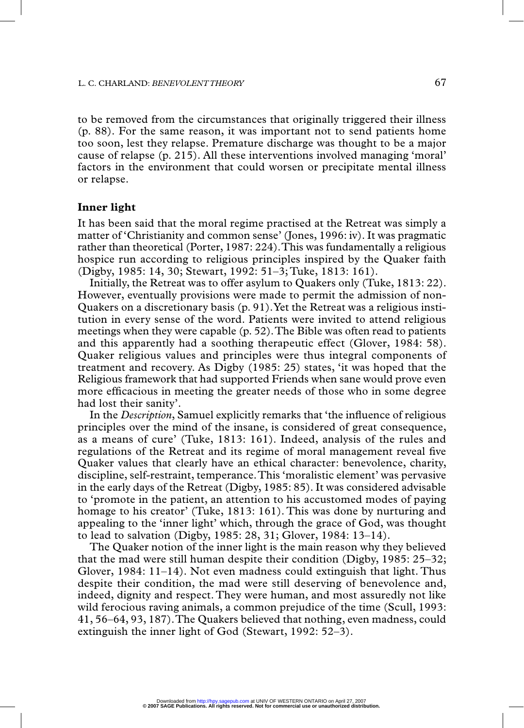to be removed from the circumstances that originally triggered their illness (p. 88). For the same reason, it was important not to send patients home too soon, lest they relapse. Premature discharge was thought to be a major cause of relapse (p. 215). All these interventions involved managing 'moral' factors in the environment that could worsen or precipitate mental illness or relapse.

# **Inner light**

It has been said that the moral regime practised at the Retreat was simply a matter of 'Christianity and common sense' (Jones, 1996: iv). It was pragmatic rather than theoretical (Porter, 1987: 224). This was fundamentally a religious hospice run according to religious principles inspired by the Quaker faith (Digby, 1985: 14, 30; Stewart, 1992: 51–3; Tuke, 1813: 161).

Initially, the Retreat was to offer asylum to Quakers only (Tuke, 1813: 22). However, eventually provisions were made to permit the admission of non-Quakers on a discretionary basis (p. 91). Yet the Retreat was a religious institution in every sense of the word. Patients were invited to attend religious meetings when they were capable (p. 52). The Bible was often read to patients and this apparently had a soothing therapeutic effect (Glover, 1984: 58). Quaker religious values and principles were thus integral components of treatment and recovery. As Digby (1985: 25) states, 'it was hoped that the Religious framework that had supported Friends when sane would prove even more efficacious in meeting the greater needs of those who in some degree had lost their sanity'.

In the *Description*, Samuel explicitly remarks that 'the influence of religious principles over the mind of the insane, is considered of great consequence, as a means of cure' (Tuke, 1813: 161). Indeed, analysis of the rules and regulations of the Retreat and its regime of moral management reveal five Quaker values that clearly have an ethical character: benevolence, charity, discipline, self-restraint, temperance. This 'moralistic element' was pervasive in the early days of the Retreat (Digby, 1985: 85). It was considered advisable to 'promote in the patient, an attention to his accustomed modes of paying homage to his creator' (Tuke, 1813: 161). This was done by nurturing and appealing to the 'inner light' which, through the grace of God, was thought to lead to salvation (Digby, 1985: 28, 31; Glover, 1984: 13–14).

The Quaker notion of the inner light is the main reason why they believed that the mad were still human despite their condition (Digby, 1985: 25–32; Glover, 1984: 11–14). Not even madness could extinguish that light. Thus despite their condition, the mad were still deserving of benevolence and, indeed, dignity and respect. They were human, and most assuredly not like wild ferocious raving animals, a common prejudice of the time (Scull, 1993: 41, 56–64, 93, 187). The Quakers believed that nothing, even madness, could extinguish the inner light of God (Stewart, 1992: 52–3).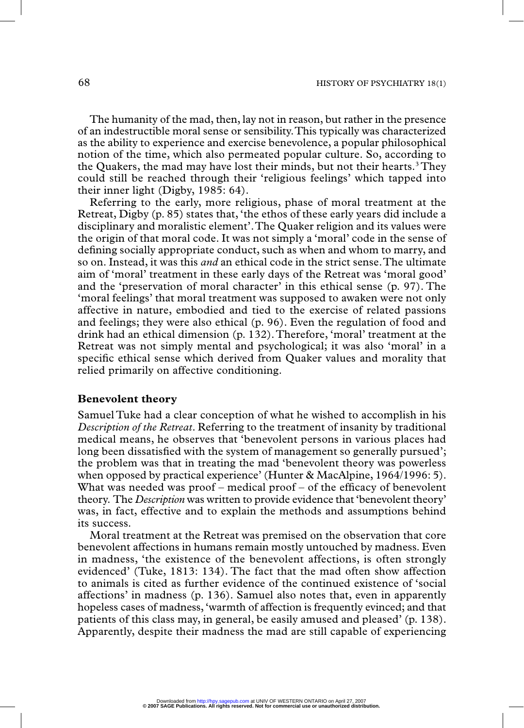The humanity of the mad, then, lay not in reason, but rather in the presence of an indestructible moral sense or sensibility. This typically was characterized as the ability to experience and exercise benevolence, a popular philosophical notion of the time, which also permeated popular culture. So, according to the Quakers, the mad may have lost their minds, but not their hearts.<sup>3</sup> They could still be reached through their 'religious feelings' which tapped into their inner light (Digby, 1985: 64).

Referring to the early, more religious, phase of moral treatment at the Retreat, Digby (p. 85) states that, 'the ethos of these early years did include a disciplinary and moralistic element'. The Quaker religion and its values were the origin of that moral code. It was not simply a 'moral' code in the sense of defining socially appropriate conduct, such as when and whom to marry, and so on. Instead, it was this *and* an ethical code in the strict sense. The ultimate aim of 'moral' treatment in these early days of the Retreat was 'moral good' and the 'preservation of moral character' in this ethical sense (p. 97). The 'moral feelings' that moral treatment was supposed to awaken were not only affective in nature, embodied and tied to the exercise of related passions and feelings; they were also ethical (p. 96). Even the regulation of food and drink had an ethical dimension (p. 132). Therefore, 'moral' treatment at the Retreat was not simply mental and psychological; it was also 'moral' in a specific ethical sense which derived from Quaker values and morality that relied primarily on affective conditioning.

# **Benevolent theory**

Samuel Tuke had a clear conception of what he wished to accomplish in his *Description of the Retreat*. Referring to the treatment of insanity by traditional medical means, he observes that 'benevolent persons in various places had long been dissatisfied with the system of management so generally pursued'; the problem was that in treating the mad 'benevolent theory was powerless when opposed by practical experience' (Hunter & MacAlpine, 1964/1996: 5). What was needed was proof – medical proof – of the efficacy of benevolent theory. The *Description* was written to provide evidence that 'benevolent theory' was, in fact, effective and to explain the methods and assumptions behind its success.

Moral treatment at the Retreat was premised on the observation that core benevolent affections in humans remain mostly untouched by madness. Even in madness, 'the existence of the benevolent affections, is often strongly evidenced' (Tuke, 1813: 134). The fact that the mad often show affection to animals is cited as further evidence of the continued existence of 'social affections' in madness (p. 136). Samuel also notes that, even in apparently hopeless cases of madness, 'warmth of affection is frequently evinced; and that patients of this class may, in general, be easily amused and pleased' (p. 138). Apparently, despite their madness the mad are still capable of experiencing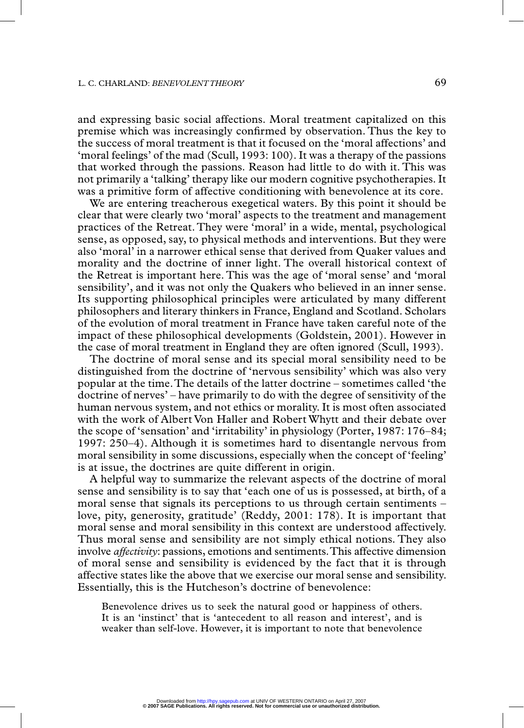and expressing basic social affections. Moral treatment capitalized on this premise which was increasingly confirmed by observation. Thus the key to the success of moral treatment is that it focused on the 'moral affections' and 'moral feelings' of the mad (Scull, 1993: 100). It was a therapy of the passions that worked through the passions. Reason had little to do with it. This was not primarily a 'talking' therapy like our modern cognitive psychotherapies. It was a primitive form of affective conditioning with benevolence at its core.

We are entering treacherous exegetical waters. By this point it should be clear that were clearly two 'moral' aspects to the treatment and management practices of the Retreat. They were 'moral' in a wide, mental, psychological sense, as opposed, say, to physical methods and interventions. But they were also 'moral' in a narrower ethical sense that derived from Quaker values and morality and the doctrine of inner light. The overall historical context of the Retreat is important here. This was the age of 'moral sense' and 'moral sensibility', and it was not only the Quakers who believed in an inner sense. Its supporting philosophical principles were articulated by many different philosophers and literary thinkers in France, England and Scotland. Scholars of the evolution of moral treatment in France have taken careful note of the impact of these philosophical developments (Goldstein, 2001). However in the case of moral treatment in England they are often ignored (Scull, 1993).

The doctrine of moral sense and its special moral sensibility need to be distinguished from the doctrine of 'nervous sensibility' which was also very popular at the time. The details of the latter doctrine – sometimes called 'the doctrine of nerves' – have primarily to do with the degree of sensitivity of the human nervous system, and not ethics or morality. It is most often associated with the work of Albert Von Haller and Robert Whytt and their debate over the scope of 'sensation' and 'irritability' in physiology (Porter, 1987: 176–84; 1997: 250–4). Although it is sometimes hard to disentangle nervous from moral sensibility in some discussions, especially when the concept of 'feeling' is at issue, the doctrines are quite different in origin.

A helpful way to summarize the relevant aspects of the doctrine of moral sense and sensibility is to say that 'each one of us is possessed, at birth, of a moral sense that signals its perceptions to us through certain sentiments – love, pity, generosity, gratitude' (Reddy, 2001: 178). It is important that moral sense and moral sensibility in this context are understood affectively. Thus moral sense and sensibility are not simply ethical notions. They also involve *affectivity*: passions, emotions and sentiments. This affective dimension of moral sense and sensibility is evidenced by the fact that it is through affective states like the above that we exercise our moral sense and sensibility. Essentially, this is the Hutcheson's doctrine of benevolence:

Benevolence drives us to seek the natural good or happiness of others. It is an 'instinct' that is 'antecedent to all reason and interest', and is weaker than self-love. However, it is important to note that benevolence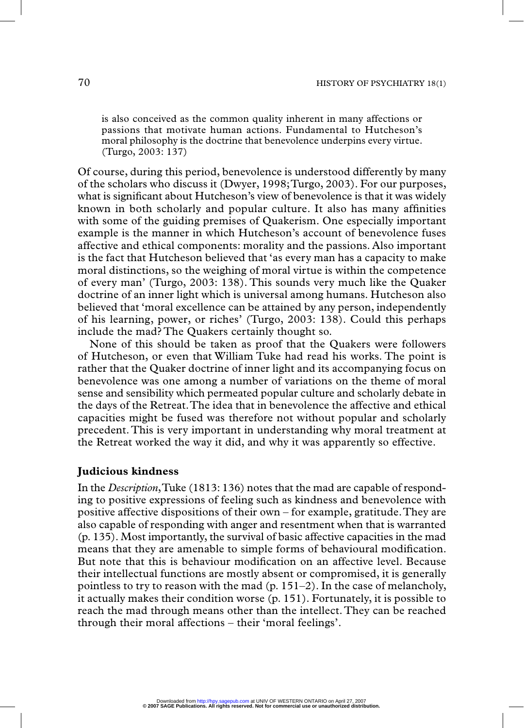is also conceived as the common quality inherent in many affections or passions that motivate human actions. Fundamental to Hutcheson's moral philosophy is the doctrine that benevolence underpins every virtue. (Turgo, 2003: 137)

Of course, during this period, benevolence is understood differently by many of the scholars who discuss it (Dwyer, 1998; Turgo, 2003). For our purposes, what is significant about Hutcheson's view of benevolence is that it was widely known in both scholarly and popular culture. It also has many affinities with some of the guiding premises of Quakerism. One especially important example is the manner in which Hutcheson's account of benevolence fuses affective and ethical components: morality and the passions. Also important is the fact that Hutcheson believed that 'as every man has a capacity to make moral distinctions, so the weighing of moral virtue is within the competence of every man' (Turgo, 2003: 138). This sounds very much like the Quaker doctrine of an inner light which is universal among humans. Hutcheson also believed that 'moral excellence can be attained by any person, independently of his learning, power, or riches' (Turgo, 2003: 138). Could this perhaps include the mad? The Quakers certainly thought so.

None of this should be taken as proof that the Quakers were followers of Hutcheson, or even that William Tuke had read his works. The point is rather that the Quaker doctrine of inner light and its accompanying focus on benevolence was one among a number of variations on the theme of moral sense and sensibility which permeated popular culture and scholarly debate in the days of the Retreat. The idea that in benevolence the affective and ethical capacities might be fused was therefore not without popular and scholarly precedent. This is very important in understanding why moral treatment at the Retreat worked the way it did, and why it was apparently so effective.

#### **Judicious kindness**

In the *Description*, Tuke (1813: 136) notes that the mad are capable of responding to positive expressions of feeling such as kindness and benevolence with positive affective dispositions of their own – for example, gratitude. They are also capable of responding with anger and resentment when that is warranted (p. 135). Most importantly, the survival of basic affective capacities in the mad means that they are amenable to simple forms of behavioural modification. But note that this is behaviour modification on an affective level. Because their intellectual functions are mostly absent or compromised, it is generally pointless to try to reason with the mad (p. 151–2). In the case of melancholy, it actually makes their condition worse (p. 151). Fortunately, it is possible to reach the mad through means other than the intellect. They can be reached through their moral affections – their 'moral feelings'.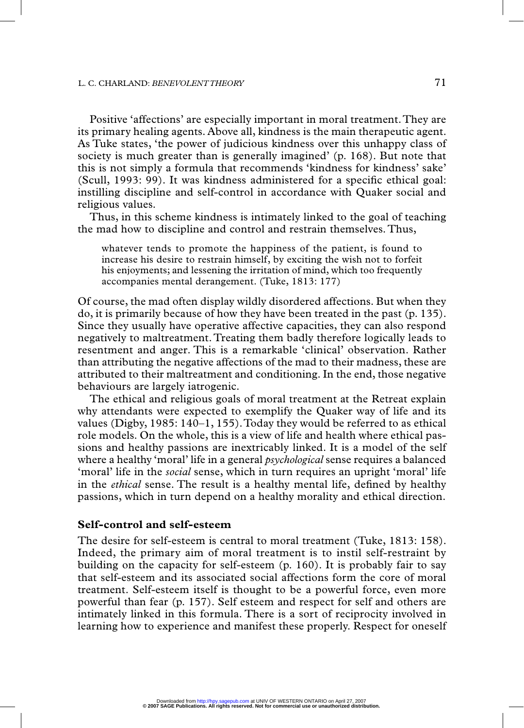Positive 'affections' are especially important in moral treatment. They are its primary healing agents. Above all, kindness is the main therapeutic agent. As Tuke states, 'the power of judicious kindness over this unhappy class of society is much greater than is generally imagined' (p. 168). But note that this is not simply a formula that recommends 'kindness for kindness' sake' (Scull, 1993: 99). It was kindness administered for a specific ethical goal: instilling discipline and self-control in accordance with Quaker social and religious values.

Thus, in this scheme kindness is intimately linked to the goal of teaching the mad how to discipline and control and restrain themselves. Thus,

whatever tends to promote the happiness of the patient, is found to increase his desire to restrain himself, by exciting the wish not to forfeit his enjoyments; and lessening the irritation of mind, which too frequently accompanies mental derangement. (Tuke, 1813: 177)

Of course, the mad often display wildly disordered affections. But when they do, it is primarily because of how they have been treated in the past (p. 135). Since they usually have operative affective capacities, they can also respond negatively to maltreatment. Treating them badly therefore logically leads to resentment and anger. This is a remarkable 'clinical' observation. Rather than attributing the negative affections of the mad to their madness, these are attributed to their maltreatment and conditioning. In the end, those negative behaviours are largely iatrogenic.

The ethical and religious goals of moral treatment at the Retreat explain why attendants were expected to exemplify the Quaker way of life and its values (Digby, 1985: 140–1, 155). Today they would be referred to as ethical role models. On the whole, this is a view of life and health where ethical passions and healthy passions are inextricably linked. It is a model of the self where a healthy 'moral' life in a general *psychological* sense requires a balanced 'moral' life in the *social* sense, which in turn requires an upright 'moral' life in the *ethical* sense. The result is a healthy mental life, defined by healthy passions, which in turn depend on a healthy morality and ethical direction.

#### **Self-control and self-esteem**

The desire for self-esteem is central to moral treatment (Tuke, 1813: 158). Indeed, the primary aim of moral treatment is to instil self-restraint by building on the capacity for self-esteem (p. 160). It is probably fair to say that self-esteem and its associated social affections form the core of moral treatment. Self-esteem itself is thought to be a powerful force, even more powerful than fear (p. 157). Self esteem and respect for self and others are intimately linked in this formula. There is a sort of reciprocity involved in learning how to experience and manifest these properly. Respect for oneself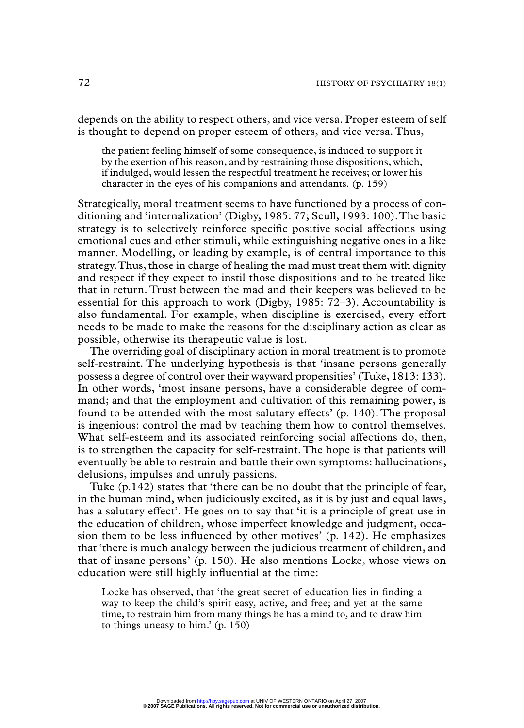depends on the ability to respect others, and vice versa. Proper esteem of self is thought to depend on proper esteem of others, and vice versa. Thus,

the patient feeling himself of some consequence, is induced to support it by the exertion of his reason, and by restraining those dispositions, which, if indulged, would lessen the respectful treatment he receives; or lower his character in the eyes of his companions and attendants. (p. 159)

Strategically, moral treatment seems to have functioned by a process of conditioning and 'internalization' (Digby, 1985: 77; Scull, 1993: 100). The basic strategy is to selectively reinforce specific positive social affections using emotional cues and other stimuli, while extinguishing negative ones in a like manner. Modelling, or leading by example, is of central importance to this strategy. Thus, those in charge of healing the mad must treat them with dignity and respect if they expect to instil those dispositions and to be treated like that in return. Trust between the mad and their keepers was believed to be essential for this approach to work (Digby, 1985: 72–3). Accountability is also fundamental. For example, when discipline is exercised, every effort needs to be made to make the reasons for the disciplinary action as clear as possible, otherwise its therapeutic value is lost.

The overriding goal of disciplinary action in moral treatment is to promote self-restraint. The underlying hypothesis is that 'insane persons generally possess a degree of control over their wayward propensities' (Tuke, 1813: 133). In other words, 'most insane persons, have a considerable degree of command; and that the employment and cultivation of this remaining power, is found to be attended with the most salutary effects' (p. 140). The proposal is ingenious: control the mad by teaching them how to control themselves. What self-esteem and its associated reinforcing social affections do, then, is to strengthen the capacity for self-restraint. The hope is that patients will eventually be able to restrain and battle their own symptoms: hallucinations, delusions, impulses and unruly passions.

Tuke (p.142) states that 'there can be no doubt that the principle of fear, in the human mind, when judiciously excited, as it is by just and equal laws, has a salutary effect'. He goes on to say that 'it is a principle of great use in the education of children, whose imperfect knowledge and judgment, occasion them to be less influenced by other motives'  $(p. 142)$ . He emphasizes that 'there is much analogy between the judicious treatment of children, and that of insane persons' (p. 150). He also mentions Locke, whose views on education were still highly influential at the time:

Locke has observed, that 'the great secret of education lies in finding a way to keep the child's spirit easy, active, and free; and yet at the same time, to restrain him from many things he has a mind to, and to draw him to things uneasy to him.' (p. 150)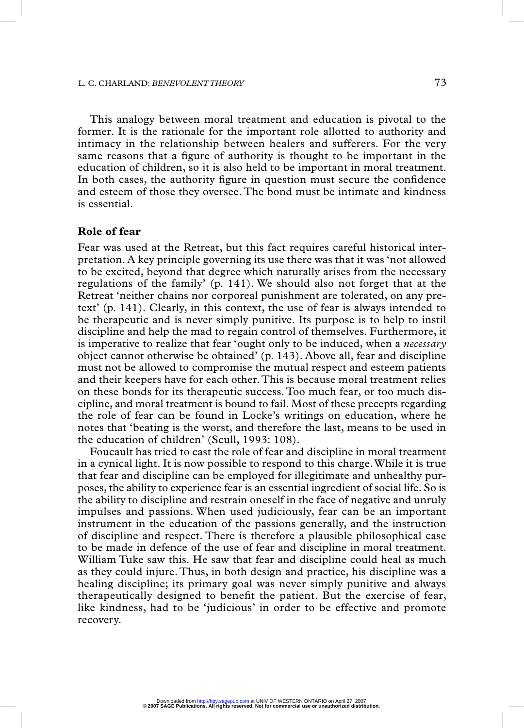This analogy between moral treatment and education is pivotal to the former. It is the rationale for the important role allotted to authority and intimacy in the relationship between healers and sufferers. For the very same reasons that a figure of authority is thought to be important in the education of children, so it is also held to be important in moral treatment. In both cases, the authority figure in question must secure the confidence and esteem of those they oversee. The bond must be intimate and kindness is essential.

# **Role of fear**

Fear was used at the Retreat, but this fact requires careful historical interpretation. A key principle governing its use there was that it was 'not allowed to be excited, beyond that degree which naturally arises from the necessary regulations of the family' (p. 141). We should also not forget that at the Retreat 'neither chains nor corporeal punishment are tolerated, on any pretext' (p. 141). Clearly, in this context, the use of fear is always intended to be therapeutic and is never simply punitive. Its purpose is to help to instil discipline and help the mad to regain control of themselves. Furthermore, it is imperative to realize that fear 'ought only to be induced, when a *necessary* object cannot otherwise be obtained' (p. 143). Above all, fear and discipline must not be allowed to compromise the mutual respect and esteem patients and their keepers have for each other. This is because moral treatment relies on these bonds for its therapeutic success. Too much fear, or too much discipline, and moral treatment is bound to fail. Most of these precepts regarding the role of fear can be found in Locke's writings on education, where he notes that 'beating is the worst, and therefore the last, means to be used in the education of children' (Scull, 1993: 108).

Foucault has tried to cast the role of fear and discipline in moral treatment in a cynical light. It is now possible to respond to this charge. While it is true that fear and discipline can be employed for illegitimate and unhealthy purposes, the ability to experience fear is an essential ingredient of social life. So is the ability to discipline and restrain oneself in the face of negative and unruly impulses and passions. When used judiciously, fear can be an important instrument in the education of the passions generally, and the instruction of discipline and respect. There is therefore a plausible philosophical case to be made in defence of the use of fear and discipline in moral treatment. William Tuke saw this. He saw that fear and discipline could heal as much as they could injure. Thus, in both design and practice, his discipline was a healing discipline; its primary goal was never simply punitive and always therapeutically designed to benefit the patient. But the exercise of fear, like kindness, had to be 'judicious' in order to be effective and promote recovery.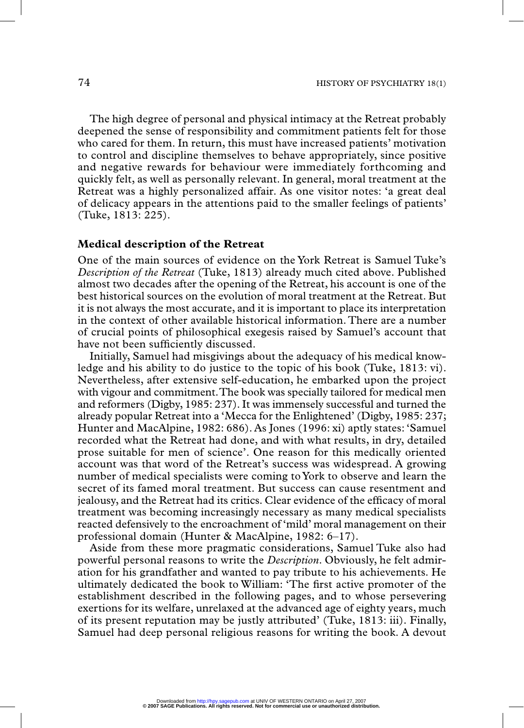The high degree of personal and physical intimacy at the Retreat probably deepened the sense of responsibility and commitment patients felt for those who cared for them. In return, this must have increased patients' motivation to control and discipline themselves to behave appropriately, since positive and negative rewards for behaviour were immediately forthcoming and quickly felt, as well as personally relevant. In general, moral treatment at the Retreat was a highly personalized affair. As one visitor notes: 'a great deal of delicacy appears in the attentions paid to the smaller feelings of patients' (Tuke, 1813: 225).

# **Medical description of the Retreat**

One of the main sources of evidence on the York Retreat is Samuel Tuke's *Description of the Retreat* (Tuke, 1813) already much cited above. Published almost two decades after the opening of the Retreat, his account is one of the best historical sources on the evolution of moral treatment at the Retreat. But it is not always the most accurate, and it is important to place its interpretation in the context of other available historical information. There are a number of crucial points of philosophical exegesis raised by Samuel's account that have not been sufficiently discussed.

Initially, Samuel had misgivings about the adequacy of his medical knowledge and his ability to do justice to the topic of his book (Tuke, 1813: vi). Nevertheless, after extensive self-education, he embarked upon the project with vigour and commitment. The book was specially tailored for medical men and reformers (Digby, 1985: 237). It was immensely successful and turned the already popular Retreat into a 'Mecca for the Enlightened' (Digby, 1985: 237; Hunter and MacAlpine, 1982: 686). As Jones (1996: xi) aptly states: 'Samuel recorded what the Retreat had done, and with what results, in dry, detailed prose suitable for men of science'. One reason for this medically oriented account was that word of the Retreat's success was widespread. A growing number of medical specialists were coming to York to observe and learn the secret of its famed moral treatment. But success can cause resentment and jealousy, and the Retreat had its critics. Clear evidence of the efficacy of moral treatment was becoming increasingly necessary as many medical specialists reacted defensively to the encroachment of 'mild' moral management on their professional domain (Hunter & MacAlpine, 1982: 6–17).

Aside from these more pragmatic considerations, Samuel Tuke also had powerful personal reasons to write the *Description*. Obviously, he felt admiration for his grandfather and wanted to pay tribute to his achievements. He ultimately dedicated the book to William: The first active promoter of the establishment described in the following pages, and to whose persevering exertions for its welfare, unrelaxed at the advanced age of eighty years, much of its present reputation may be justly attributed' (Tuke, 1813: iii). Finally, Samuel had deep personal religious reasons for writing the book. A devout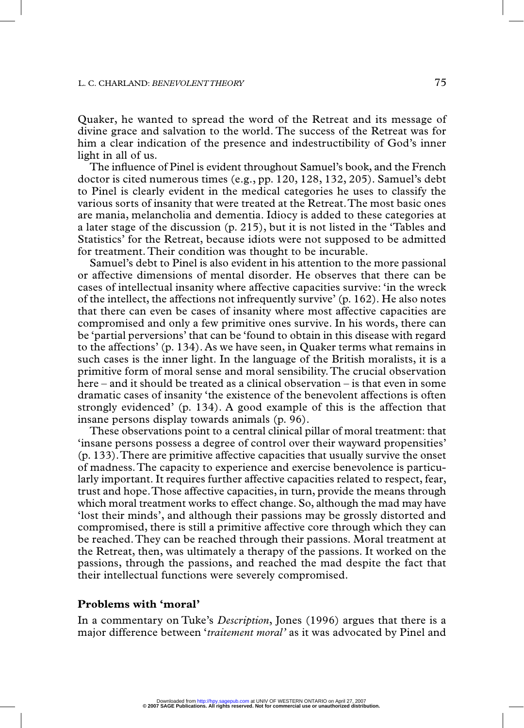Quaker, he wanted to spread the word of the Retreat and its message of divine grace and salvation to the world. The success of the Retreat was for him a clear indication of the presence and indestructibility of God's inner light in all of us.

The influence of Pinel is evident throughout Samuel's book, and the French doctor is cited numerous times (e.g., pp. 120, 128, 132, 205). Samuel's debt to Pinel is clearly evident in the medical categories he uses to classify the various sorts of insanity that were treated at the Retreat. The most basic ones are mania, melancholia and dementia. Idiocy is added to these categories at a later stage of the discussion (p. 215), but it is not listed in the 'Tables and Statistics' for the Retreat, because idiots were not supposed to be admitted for treatment. Their condition was thought to be incurable.

Samuel's debt to Pinel is also evident in his attention to the more passional or affective dimensions of mental disorder. He observes that there can be cases of intellectual insanity where affective capacities survive: 'in the wreck of the intellect, the affections not infrequently survive' (p. 162). He also notes that there can even be cases of insanity where most affective capacities are compromised and only a few primitive ones survive. In his words, there can be 'partial perversions' that can be 'found to obtain in this disease with regard to the affections' (p. 134). As we have seen, in Quaker terms what remains in such cases is the inner light. In the language of the British moralists, it is a primitive form of moral sense and moral sensibility. The crucial observation here – and it should be treated as a clinical observation – is that even in some dramatic cases of insanity 'the existence of the benevolent affections is often strongly evidenced' (p. 134). A good example of this is the affection that insane persons display towards animals (p. 96).

These observations point to a central clinical pillar of moral treatment: that 'insane persons possess a degree of control over their wayward propensities' (p. 133). There are primitive affective capacities that usually survive the onset of madness. The capacity to experience and exercise benevolence is particularly important. It requires further affective capacities related to respect, fear, trust and hope. Those affective capacities, in turn, provide the means through which moral treatment works to effect change. So, although the mad may have 'lost their minds', and although their passions may be grossly distorted and compromised, there is still a primitive affective core through which they can be reached. They can be reached through their passions. Moral treatment at the Retreat, then, was ultimately a therapy of the passions. It worked on the passions, through the passions, and reached the mad despite the fact that their intellectual functions were severely compromised.

#### **Problems with 'moral'**

In a commentary on Tuke's *Description*, Jones (1996) argues that there is a major difference between '*traitement moral'* as it was advocated by Pinel and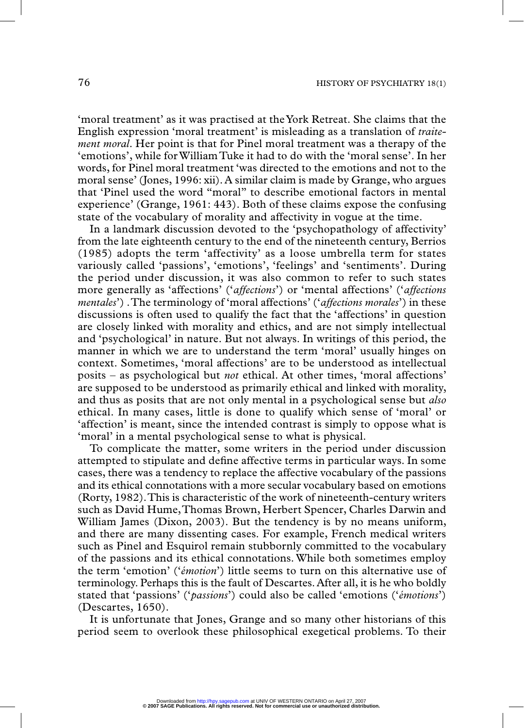'moral treatment' as it was practised at the York Retreat. She claims that the English expression 'moral treatment' is misleading as a translation of *traitement moral*. Her point is that for Pinel moral treatment was a therapy of the 'emotions', while for William Tuke it had to do with the 'moral sense'. In her words, for Pinel moral treatment 'was directed to the emotions and not to the moral sense' (Jones, 1996: xii). A similar claim is made by Grange, who argues that 'Pinel used the word "moral" to describe emotional factors in mental experience' (Grange, 1961: 443). Both of these claims expose the confusing state of the vocabulary of morality and affectivity in vogue at the time.

In a landmark discussion devoted to the 'psychopathology of affectivity' from the late eighteenth century to the end of the nineteenth century, Berrios (1985) adopts the term 'affectivity' as a loose umbrella term for states variously called 'passions', 'emotions', 'feelings' and 'sentiments'. During the period under discussion, it was also common to refer to such states more generally as 'affections' ('*affections*') or 'mental affections' ('*affections mentales*') . The terminology of 'moral affections' ('*affections morales*') in these discussions is often used to qualify the fact that the 'affections' in question are closely linked with morality and ethics, and are not simply intellectual and 'psychological' in nature. But not always. In writings of this period, the manner in which we are to understand the term 'moral' usually hinges on context. Sometimes, 'moral affections' are to be understood as intellectual posits – as psychological but *not* ethical. At other times, 'moral affections' are supposed to be understood as primarily ethical and linked with morality, and thus as posits that are not only mental in a psychological sense but *also* ethical. In many cases, little is done to qualify which sense of 'moral' or 'affection' is meant, since the intended contrast is simply to oppose what is 'moral' in a mental psychological sense to what is physical.

To complicate the matter, some writers in the period under discussion attempted to stipulate and define affective terms in particular ways. In some cases, there was a tendency to replace the affective vocabulary of the passions and its ethical connotations with a more secular vocabulary based on emotions (Rorty, 1982). This is characteristic of the work of nineteenth-century writers such as David Hume, Thomas Brown, Herbert Spencer, Charles Darwin and William James (Dixon, 2003). But the tendency is by no means uniform, and there are many dissenting cases. For example, French medical writers such as Pinel and Esquirol remain stubbornly committed to the vocabulary of the passions and its ethical connotations. While both sometimes employ the term 'emotion' ('*émotion*') little seems to turn on this alternative use of terminology. Perhaps this is the fault of Descartes. After all, it is he who boldly stated that 'passions' ('*passions*') could also be called 'emotions ('*émotions*') (Descartes, 1650).

It is unfortunate that Jones, Grange and so many other historians of this period seem to overlook these philosophical exegetical problems. To their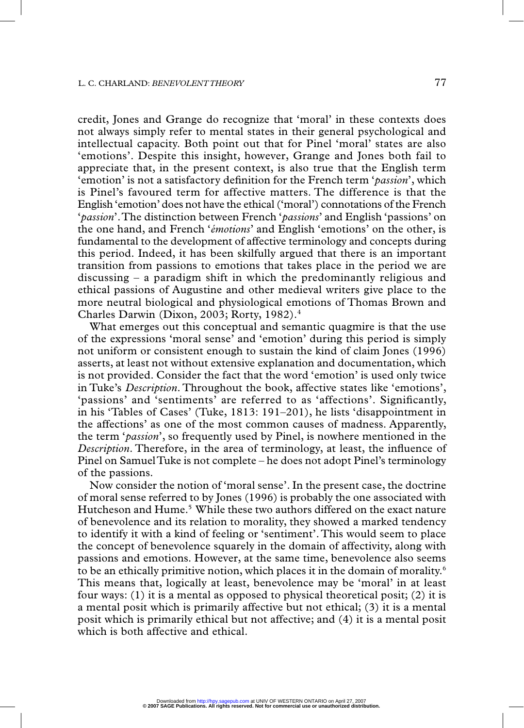credit, Jones and Grange do recognize that 'moral' in these contexts does not always simply refer to mental states in their general psychological and intellectual capacity. Both point out that for Pinel 'moral' states are also 'emotions'. Despite this insight, however, Grange and Jones both fail to appreciate that, in the present context, is also true that the English term 'emotion' is not a satisfactory definition for the French term '*passion*', which is Pinel's favoured term for affective matters. The difference is that the English 'emotion' does not have the ethical ('moral') connotations of the French '*passion*'. The distinction between French '*passions*' and English 'passions' on the one hand, and French '*émotions*' and English 'emotions' on the other, is fundamental to the development of affective terminology and concepts during this period. Indeed, it has been skilfully argued that there is an important transition from passions to emotions that takes place in the period we are discussing – a paradigm shift in which the predominantly religious and ethical passions of Augustine and other medieval writers give place to the more neutral biological and physiological emotions of Thomas Brown and Charles Darwin (Dixon, 2003; Rorty, 1982).4

What emerges out this conceptual and semantic quagmire is that the use of the expressions 'moral sense' and 'emotion' during this period is simply not uniform or consistent enough to sustain the kind of claim Jones (1996) asserts, at least not without extensive explanation and documentation, which is not provided. Consider the fact that the word 'emotion' is used only twice in Tuke's *Description*. Throughout the book, affective states like 'emotions', 'passions' and 'sentiments' are referred to as 'affections'. Significantly, in his 'Tables of Cases' (Tuke, 1813: 191–201), he lists 'disappointment in the affections' as one of the most common causes of madness. Apparently, the term '*passion*', so frequently used by Pinel, is nowhere mentioned in the *Description*. Therefore, in the area of terminology, at least, the influence of Pinel on Samuel Tuke is not complete – he does not adopt Pinel's terminology of the passions.

Now consider the notion of 'moral sense'. In the present case, the doctrine of moral sense referred to by Jones (1996) is probably the one associated with Hutcheson and Hume.<sup>5</sup> While these two authors differed on the exact nature of benevolence and its relation to morality, they showed a marked tendency to identify it with a kind of feeling or 'sentiment'. This would seem to place the concept of benevolence squarely in the domain of affectivity, along with passions and emotions. However, at the same time, benevolence also seems to be an ethically primitive notion, which places it in the domain of morality.6 This means that, logically at least, benevolence may be 'moral' in at least four ways:  $(1)$  it is a mental as opposed to physical theoretical posit;  $(2)$  it is a mental posit which is primarily affective but not ethical; (3) it is a mental posit which is primarily ethical but not affective; and (4) it is a mental posit which is both affective and ethical.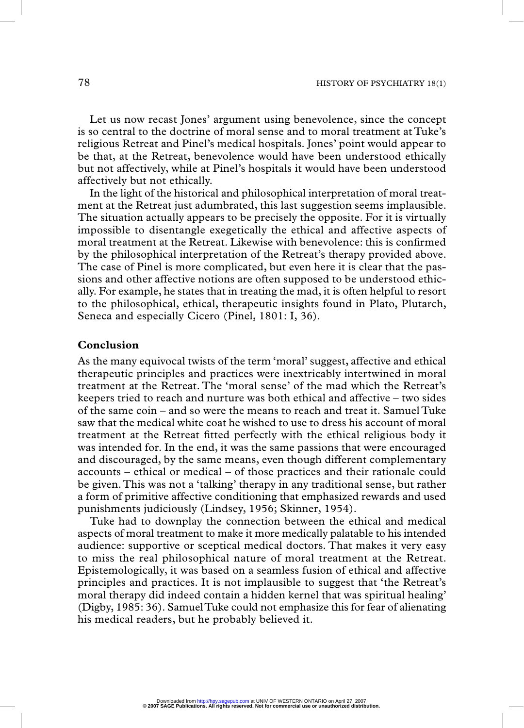Let us now recast Jones' argument using benevolence, since the concept is so central to the doctrine of moral sense and to moral treatment at Tuke's religious Retreat and Pinel's medical hospitals. Jones' point would appear to be that, at the Retreat, benevolence would have been understood ethically but not affectively, while at Pinel's hospitals it would have been understood affectively but not ethically.

In the light of the historical and philosophical interpretation of moral treatment at the Retreat just adumbrated, this last suggestion seems implausible. The situation actually appears to be precisely the opposite. For it is virtually impossible to disentangle exegetically the ethical and affective aspects of moral treatment at the Retreat. Likewise with benevolence: this is confirmed by the philosophical interpretation of the Retreat's therapy provided above. The case of Pinel is more complicated, but even here it is clear that the passions and other affective notions are often supposed to be understood ethically. For example, he states that in treating the mad, it is often helpful to resort to the philosophical, ethical, therapeutic insights found in Plato, Plutarch, Seneca and especially Cicero (Pinel, 1801: I, 36).

### **Conclusion**

As the many equivocal twists of the term 'moral' suggest, affective and ethical therapeutic principles and practices were inextricably intertwined in moral treatment at the Retreat. The 'moral sense' of the mad which the Retreat's keepers tried to reach and nurture was both ethical and affective – two sides of the same coin – and so were the means to reach and treat it. Samuel Tuke saw that the medical white coat he wished to use to dress his account of moral treatment at the Retreat fitted perfectly with the ethical religious body it was intended for. In the end, it was the same passions that were encouraged and discouraged, by the same means, even though different complementary accounts – ethical or medical – of those practices and their rationale could be given. This was not a 'talking' therapy in any traditional sense, but rather a form of primitive affective conditioning that emphasized rewards and used punishments judiciously (Lindsey, 1956; Skinner, 1954).

Tuke had to downplay the connection between the ethical and medical aspects of moral treatment to make it more medically palatable to his intended audience: supportive or sceptical medical doctors. That makes it very easy to miss the real philosophical nature of moral treatment at the Retreat. Epistemologically, it was based on a seamless fusion of ethical and affective principles and practices. It is not implausible to suggest that 'the Retreat's moral therapy did indeed contain a hidden kernel that was spiritual healing' (Digby, 1985: 36). Samuel Tuke could not emphasize this for fear of alienating his medical readers, but he probably believed it.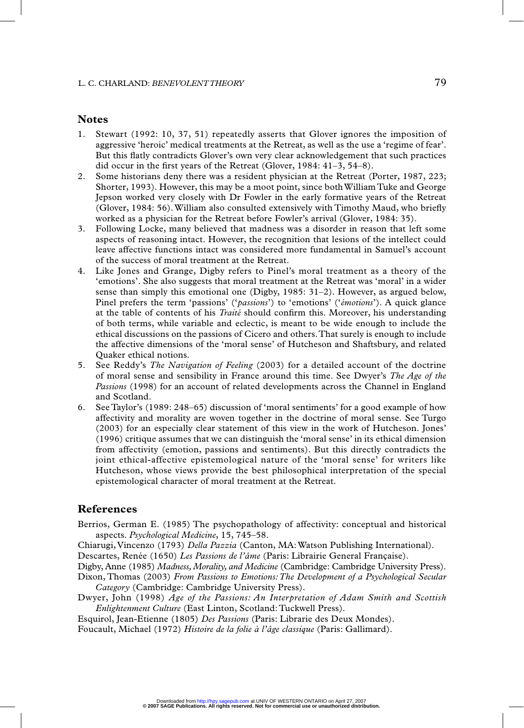# **Notes**

- 1. Stewart (1992: 10, 37, 51) repeatedly asserts that Glover ignores the imposition of aggressive 'heroic' medical treatments at the Retreat, as well as the use a 'regime of fear'. But this flatly contradicts Glover's own very clear acknowledgement that such practices did occur in the first years of the Retreat (Glover, 1984:  $41-3$ ,  $54-8$ ).
- 2. Some historians deny there was a resident physician at the Retreat (Porter, 1987, 223; Shorter, 1993). However, this may be a moot point, since both William Tuke and George Jepson worked very closely with Dr Fowler in the early formative years of the Retreat (Glover, 1984: 56). William also consulted extensively with Timothy Maud, who briefly worked as a physician for the Retreat before Fowler's arrival (Glover, 1984: 35).
- 3. Following Locke, many believed that madness was a disorder in reason that left some aspects of reasoning intact. However, the recognition that lesions of the intellect could leave affective functions intact was considered more fundamental in Samuel's account of the success of moral treatment at the Retreat.
- 4. Like Jones and Grange, Digby refers to Pinel's moral treatment as a theory of the 'emotions'. She also suggests that moral treatment at the Retreat was 'moral' in a wider sense than simply this emotional one (Digby, 1985: 31–2). However, as argued below, Pinel prefers the term 'passions' ('*passions*') to 'emotions' ('*émotions*'). A quick glance at the table of contents of his *Traité* should confirm this. Moreover, his understanding of both terms, while variable and eclectic, is meant to be wide enough to include the ethical discussions on the passions of Cicero and others. That surely is enough to include the affective dimensions of the 'moral sense' of Hutcheson and Shaftsbury, and related Quaker ethical notions.
- 5. See Reddy's *The Navigation of Feeling* (2003) for a detailed account of the doctrine of moral sense and sensibility in France around this time. See Dwyer's *The Age of the Passions* (1998) for an account of related developments across the Channel in England and Scotland.
- 6. See Taylor's (1989: 248–65) discussion of 'moral sentiments' for a good example of how affectivity and morality are woven together in the doctrine of moral sense. See Turgo (2003) for an especially clear statement of this view in the work of Hutcheson. Jones' (1996) critique assumes that we can distinguish the 'moral sense' in its ethical dimension from affectivity (emotion, passions and sentiments). But this directly contradicts the joint ethical-affective epistemological nature of the 'moral sense' for writers like Hutcheson, whose views provide the best philosophical interpretation of the special epistemological character of moral treatment at the Retreat.

#### **References**

- Berrios, German E. (1985) The psychopathology of affectivity: conceptual and historical aspects. *Psychological Medicine*, 15, 745–58.
- Chiarugi, Vincenzo (1793) *Della Pazzia* (Canton, MA: Watson Publishing International).

Descartes, Renée (1650) *Les Passions de l'âme* (Paris: Librairie General Française).

- Digby, Anne (1985) *Madness, Morality, and Medicine* (Cambridge: Cambridge University Press).
- Dixon, Thomas (2003) *From Passions to Emotions: The Development of a Psychological Secular Category* (Cambridge: Cambridge University Press).
- Dwyer, John (1998) *Age of the Passions: An Interpretation of Adam Smith and Scottish Enlightenment Culture* (East Linton, Scotland: Tuckwell Press).
- Esquirol, Jean-Etienne (1805) *Des Passions* (Paris: Librarie des Deux Mondes).

Foucault, Michael (1972) *Histoire de la folie à l'âge classique* (Paris: Gallimard).